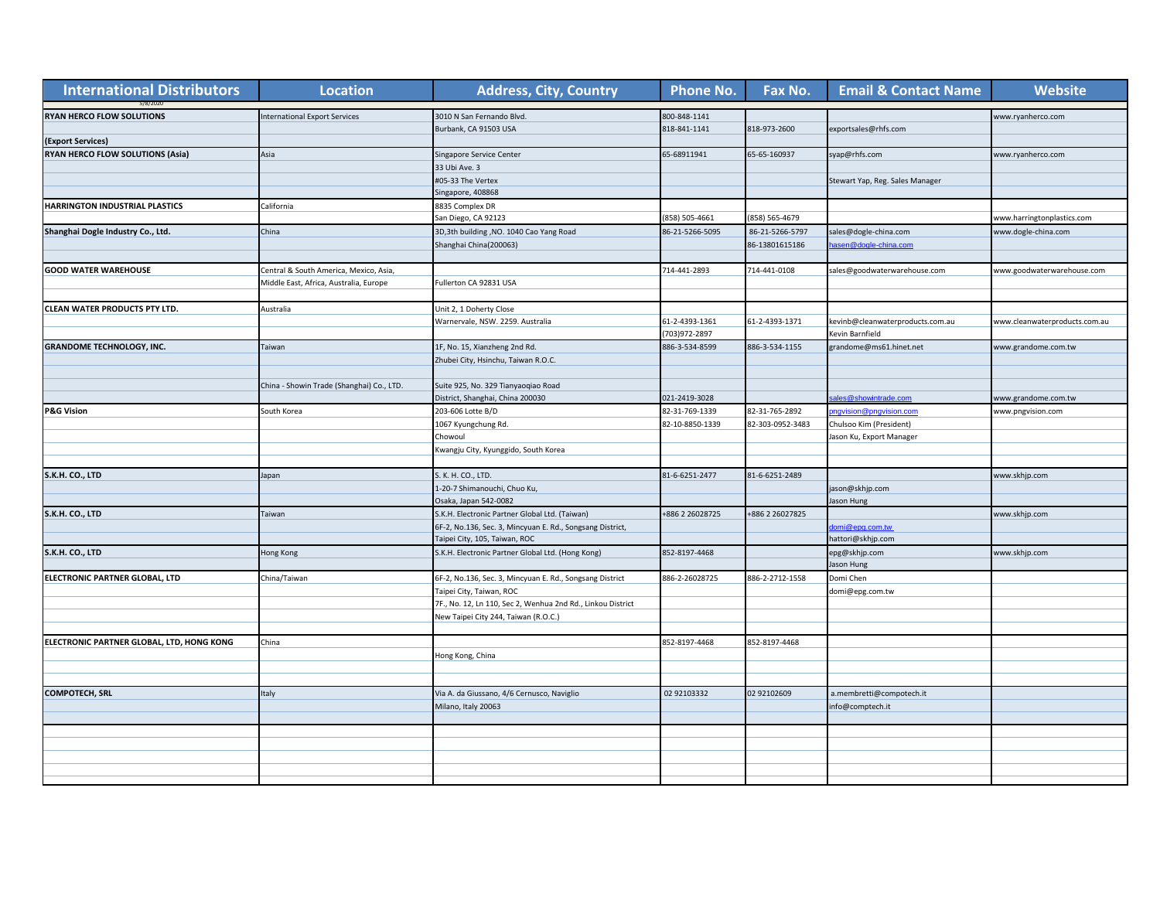| <b>International Distributors</b>         | <b>Location</b>                           | <b>Address, City, Country</b>                               | <b>Phone No.</b> | Fax No.          | <b>Email &amp; Contact Name</b>  | <b>Website</b>                |
|-------------------------------------------|-------------------------------------------|-------------------------------------------------------------|------------------|------------------|----------------------------------|-------------------------------|
| RYAN HERCO FLOW SOLUTIONS                 | <b>International Export Services</b>      | 3010 N San Fernando Blvd.                                   | 800-848-1141     |                  |                                  | www.ryanherco.com             |
|                                           |                                           | Burbank, CA 91503 USA                                       | 818-841-1141     | 818-973-2600     | exportsales@rhfs.com             |                               |
| (Export Services)                         |                                           |                                                             |                  |                  |                                  |                               |
| RYAN HERCO FLOW SOLUTIONS (Asia)          | Asia                                      | Singapore Service Center                                    | 65-68911941      | 65-65-160937     | syap@rhfs.com                    | www.ryanherco.com             |
|                                           |                                           | 33 Ubi Ave. 3                                               |                  |                  |                                  |                               |
|                                           |                                           | #05-33 The Vertex                                           |                  |                  | Stewart Yap, Reg. Sales Manager  |                               |
|                                           |                                           | Singapore, 408868                                           |                  |                  |                                  |                               |
| HARRINGTON INDUSTRIAL PLASTICS            | California                                | 8835 Complex DR                                             |                  |                  |                                  |                               |
|                                           |                                           | San Diego, CA 92123                                         | 858) 505-4661    | 858) 565-4679    |                                  | vww.harringtonplastics.com    |
| Shanghai Dogle Industry Co., Ltd.         | China                                     | 3D,3th building, NO. 1040 Cao Yang Road                     | 86-21-5266-5095  | 86-21-5266-5797  | sales@dogle-china.com            | www.dogle-china.com           |
|                                           |                                           | Shanghai China(200063)                                      |                  | 86-13801615186   | asen@dogle-china.com             |                               |
|                                           |                                           |                                                             |                  |                  |                                  |                               |
| <b>GOOD WATER WAREHOUSE</b>               | Central & South America, Mexico, Asia,    |                                                             | 714-441-2893     | 714-441-0108     | sales@goodwaterwarehouse.com     | www.goodwaterwarehouse.com    |
|                                           | Middle East, Africa, Australia, Europe    | Fullerton CA 92831 USA                                      |                  |                  |                                  |                               |
|                                           |                                           |                                                             |                  |                  |                                  |                               |
| <b>CLEAN WATER PRODUCTS PTY LTD.</b>      | Australia                                 | Unit 2, 1 Doherty Close                                     |                  |                  |                                  |                               |
|                                           |                                           | Warnervale, NSW. 2259. Australia                            | 61-2-4393-1361   | 61-2-4393-1371   | kevinb@cleanwaterproducts.com.au | www.cleanwaterproducts.com.au |
|                                           |                                           |                                                             | 703)972-2897     |                  | Kevin Barnfield                  |                               |
| <b>GRANDOME TECHNOLOGY, INC.</b>          | Taiwan                                    | 1F, No. 15, Xianzheng 2nd Rd.                               | 886-3-534-8599   | 886-3-534-1155   | grandome@ms61.hinet.net          | www.grandome.com.tw           |
|                                           |                                           | Zhubei City, Hsinchu, Taiwan R.O.C.                         |                  |                  |                                  |                               |
|                                           |                                           |                                                             |                  |                  |                                  |                               |
|                                           | China - Showin Trade (Shanghai) Co., LTD. | Suite 925, No. 329 Tianyaogiao Road                         |                  |                  |                                  |                               |
|                                           |                                           | District, Shanghai, China 200030                            | 021-2419-3028    |                  | es@showintrade.com               | www.grandome.com.tw           |
| <b>P&amp;G Vision</b>                     | South Korea                               | 203-606 Lotte B/D                                           | 82-31-769-1339   | 82-31-765-2892   | ngvision@pngvision.com           | www.pngvision.com             |
|                                           |                                           | 1067 Kyungchung Rd.                                         | 82-10-8850-1339  | 82-303-0952-3483 | Chulsoo Kim (President)          |                               |
|                                           |                                           | Chowoul                                                     |                  |                  | lason Ku, Export Manager         |                               |
|                                           |                                           | Kwangju City, Kyunggido, South Korea                        |                  |                  |                                  |                               |
|                                           |                                           |                                                             |                  |                  |                                  |                               |
| S.K.H. CO., LTD                           | Japan                                     | S. K. H. CO., LTD.                                          | 81-6-6251-2477   | 81-6-6251-2489   |                                  | www.skhjp.com                 |
|                                           |                                           | 1-20-7 Shimanouchi, Chuo Ku,                                |                  |                  | jason@skhjp.com                  |                               |
|                                           |                                           | Osaka, Japan 542-0082                                       |                  |                  | Jason Hung                       |                               |
| S.K.H. CO., LTD                           | Taiwan                                    | S.K.H. Electronic Partner Global Ltd. (Taiwan)              | +886 2 26028725  | 886 2 26027825   |                                  | www.skhjp.com                 |
|                                           |                                           | 6F-2, No.136, Sec. 3, Mincyuan E. Rd., Songsang District,   |                  |                  | omi@epg.com.tw                   |                               |
|                                           |                                           | Taipei City, 105, Taiwan, ROC                               |                  |                  | attori@skhjp.com                 |                               |
| S.K.H. CO., LTD                           | Hong Kong                                 | S.K.H. Electronic Partner Global Ltd. (Hong Kong)           | 852-8197-4468    |                  | epg@skhjp.com                    | www.skhjp.com                 |
|                                           |                                           |                                                             |                  |                  | Jason Hung                       |                               |
| ELECTRONIC PARTNER GLOBAL, LTD            | China/Taiwan                              | 6F-2, No.136, Sec. 3, Mincyuan E. Rd., Songsang District    | 886-2-26028725   | 886-2-2712-1558  | Domi Chen                        |                               |
|                                           |                                           | Taipei City, Taiwan, ROC                                    |                  |                  | domi@epg.com.tw                  |                               |
|                                           |                                           | 7F., No. 12, Ln 110, Sec 2, Wenhua 2nd Rd., Linkou District |                  |                  |                                  |                               |
|                                           |                                           | New Taipei City 244, Taiwan (R.O.C.)                        |                  |                  |                                  |                               |
|                                           |                                           |                                                             |                  |                  |                                  |                               |
| ELECTRONIC PARTNER GLOBAL, LTD, HONG KONG | China                                     |                                                             | 852-8197-4468    | 852-8197-4468    |                                  |                               |
|                                           |                                           | Hong Kong, China                                            |                  |                  |                                  |                               |
|                                           |                                           |                                                             |                  |                  |                                  |                               |
|                                           |                                           |                                                             |                  |                  |                                  |                               |
| <b>COMPOTECH, SRL</b>                     | Italy                                     | Via A. da Giussano, 4/6 Cernusco, Naviglio                  | 02 92103332      | 02 92102609      | a.membretti@compotech.it         |                               |
|                                           |                                           | Milano, Italy 20063                                         |                  |                  | info@comptech.it                 |                               |
|                                           |                                           |                                                             |                  |                  |                                  |                               |
|                                           |                                           |                                                             |                  |                  |                                  |                               |
|                                           |                                           |                                                             |                  |                  |                                  |                               |
|                                           |                                           |                                                             |                  |                  |                                  |                               |
|                                           |                                           |                                                             |                  |                  |                                  |                               |
|                                           |                                           |                                                             |                  |                  |                                  |                               |